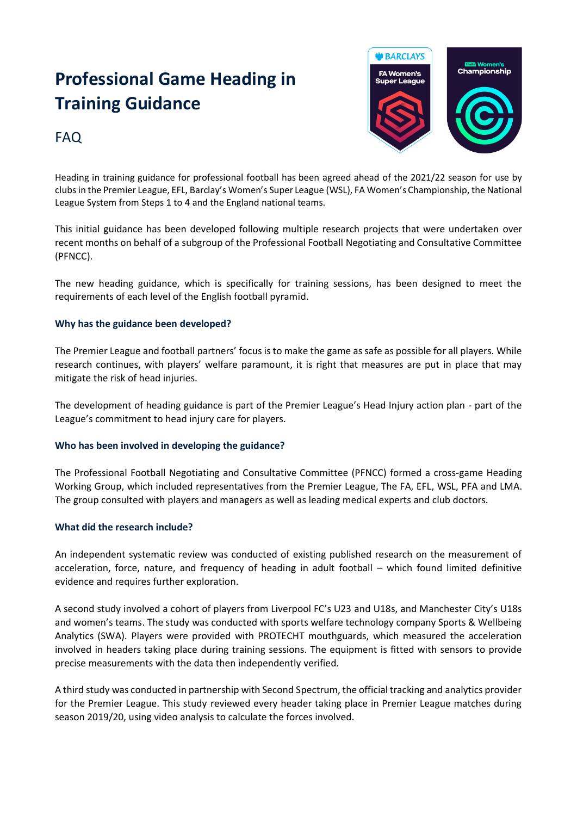# **Professional Game Heading in Training Guidance**



# FAQ

Heading in training guidance for professional football has been agreed ahead of the 2021/22 season for use by clubs in the Premier League, EFL, Barclay's Women's Super League (WSL), FA Women's Championship, the National League System from Steps 1 to 4 and the England national teams.

This initial guidance has been developed following multiple research projects that were undertaken over recent months on behalf of a subgroup of the Professional Football Negotiating and Consultative Committee (PFNCC).

The new heading guidance, which is specifically for training sessions, has been designed to meet the requirements of each level of the English football pyramid.

# **Why has the guidance been developed?**

The Premier League and football partners' focus is to make the game as safe as possible for all players. While research continues, with players' welfare paramount, it is right that measures are put in place that may mitigate the risk of head injuries.

The development of heading guidance is part of the Premier League's Head Injury action plan - part of the League's commitment to head injury care for players.

# **Who has been involved in developing the guidance?**

The Professional Football Negotiating and Consultative Committee (PFNCC) formed a cross-game Heading Working Group, which included representatives from the Premier League, The FA, EFL, WSL, PFA and LMA. The group consulted with players and managers as well as leading medical experts and club doctors.

### **What did the research include?**

An independent systematic review was conducted of existing published research on the measurement of acceleration, force, nature, and frequency of heading in adult football – which found limited definitive evidence and requires further exploration.

A second study involved a cohort of players from Liverpool FC's U23 and U18s, and Manchester City's U18s and women's teams. The study was conducted with sports welfare technology company Sports & Wellbeing Analytics (SWA). Players were provided with PROTECHT mouthguards, which measured the acceleration involved in headers taking place during training sessions. The equipment is fitted with sensors to provide precise measurements with the data then independently verified.

A third study was conducted in partnership with Second Spectrum, the official tracking and analytics provider for the Premier League. This study reviewed every header taking place in Premier League matches during season 2019/20, using video analysis to calculate the forces involved.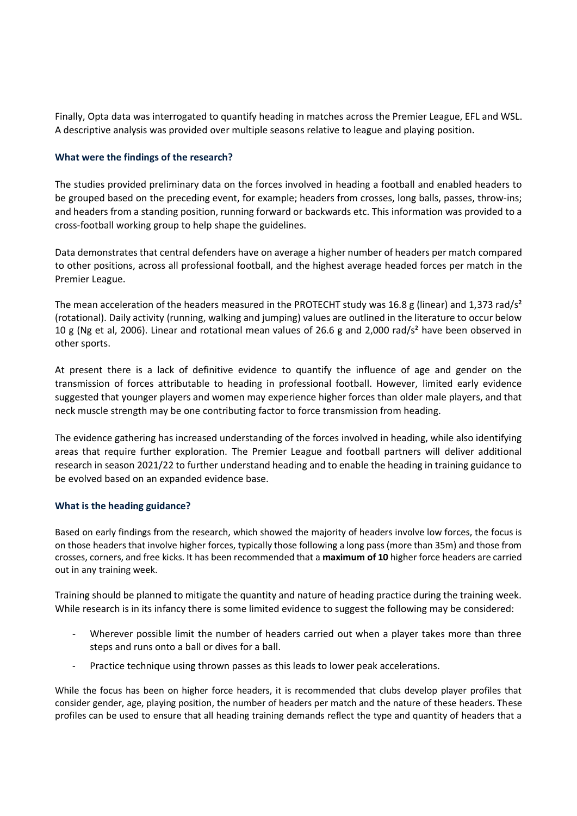Finally, Opta data was interrogated to quantify heading in matches across the Premier League, EFL and WSL. A descriptive analysis was provided over multiple seasons relative to league and playing position.

### **What were the findings of the research?**

The studies provided preliminary data on the forces involved in heading a football and enabled headers to be grouped based on the preceding event, for example; headers from crosses, long balls, passes, throw-ins; and headers from a standing position, running forward or backwards etc. This information was provided to a cross-football working group to help shape the guidelines.

Data demonstrates that central defenders have on average a higher number of headers per match compared to other positions, across all professional football, and the highest average headed forces per match in the Premier League.

The mean acceleration of the headers measured in the PROTECHT study was 16.8 g (linear) and 1,373 rad/s<sup>2</sup> (rotational). Daily activity (running, walking and jumping) values are outlined in the literature to occur below 10 g (Ng et al, 2006). Linear and rotational mean values of 26.6 g and 2,000 rad/s<sup>2</sup> have been observed in other sports.

At present there is a lack of definitive evidence to quantify the influence of age and gender on the transmission of forces attributable to heading in professional football. However, limited early evidence suggested that younger players and women may experience higher forces than older male players, and that neck muscle strength may be one contributing factor to force transmission from heading.

The evidence gathering has increased understanding of the forces involved in heading, while also identifying areas that require further exploration. The Premier League and football partners will deliver additional research in season 2021/22 to further understand heading and to enable the heading in training guidance to be evolved based on an expanded evidence base.

### **What is the heading guidance?**

Based on early findings from the research, which showed the majority of headers involve low forces, the focus is on those headers that involve higher forces, typically those following a long pass (more than 35m) and those from crosses, corners, and free kicks. It has been recommended that a **maximum of 10** higher force headers are carried out in any training week.

Training should be planned to mitigate the quantity and nature of heading practice during the training week. While research is in its infancy there is some limited evidence to suggest the following may be considered:

- Wherever possible limit the number of headers carried out when a player takes more than three steps and runs onto a ball or dives for a ball.
- Practice technique using thrown passes as this leads to lower peak accelerations.

While the focus has been on higher force headers, it is recommended that clubs develop player profiles that consider gender, age, playing position, the number of headers per match and the nature of these headers. These profiles can be used to ensure that all heading training demands reflect the type and quantity of headers that a